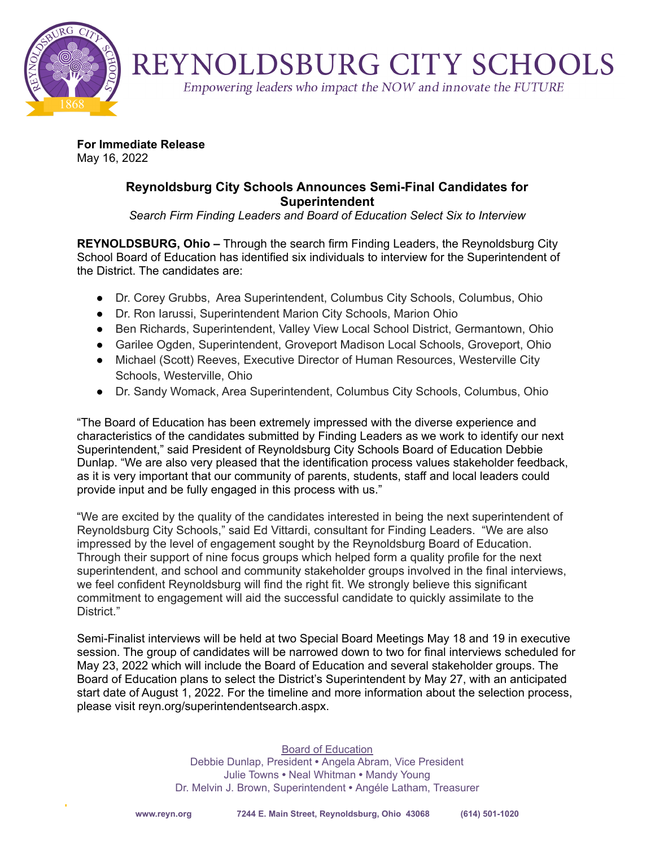

## REYNOLDSBURG CITY SCHOOLS

Empowering leaders who impact the NOW and innovate the FUTURE

**For Immediate Release** May 16, 2022

## **Reynoldsburg City Schools Announces Semi-Final Candidates for Superintendent**

*Search Firm Finding Leaders and Board of Education Select Six to Interview*

**REYNOLDSBURG, Ohio –** Through the search firm Finding Leaders, the Reynoldsburg City School Board of Education has identified six individuals to interview for the Superintendent of the District. The candidates are:

- Dr. Corey Grubbs, Area Superintendent, Columbus City Schools, Columbus, Ohio
- Dr. Ron Iarussi, Superintendent Marion City Schools, Marion Ohio
- Ben Richards, Superintendent, Valley View Local School District, Germantown, Ohio
- Garilee Ogden, Superintendent, Groveport Madison Local Schools, Groveport, Ohio
- Michael (Scott) Reeves, Executive Director of Human Resources, Westerville City Schools, Westerville, Ohio
- Dr. Sandy Womack, Area Superintendent, Columbus City Schools, Columbus, Ohio

"The Board of Education has been extremely impressed with the diverse experience and characteristics of the candidates submitted by Finding Leaders as we work to identify our next Superintendent," said President of Reynoldsburg City Schools Board of Education Debbie Dunlap. "We are also very pleased that the identification process values stakeholder feedback, as it is very important that our community of parents, students, staff and local leaders could provide input and be fully engaged in this process with us."

"We are excited by the quality of the candidates interested in being the next superintendent of Reynoldsburg City Schools," said Ed Vittardi, consultant for Finding Leaders. "We are also impressed by the level of engagement sought by the Reynoldsburg Board of Education. Through their support of nine focus groups which helped form a quality profile for the next superintendent, and school and community stakeholder groups involved in the final interviews, we feel confident Reynoldsburg will find the right fit. We strongly believe this significant commitment to engagement will aid the successful candidate to quickly assimilate to the District."

Semi-Finalist interviews will be held at two Special Board Meetings May 18 and 19 in executive session. The group of candidates will be narrowed down to two for final interviews scheduled for May 23, 2022 which will include the Board of Education and several stakeholder groups. The Board of Education plans to select the District's Superintendent by May 27, with an anticipated start date of August 1, 2022. For the timeline and more information about the selection process, please visit reyn.org/superintendentsearch.aspx.

> Board of Education Debbie Dunlap, President **•** Angela Abram, Vice President Julie Towns **•** Neal Whitman **•** Mandy Young Dr. Melvin J. Brown, Superintendent **•** Angéle Latham, Treasurer